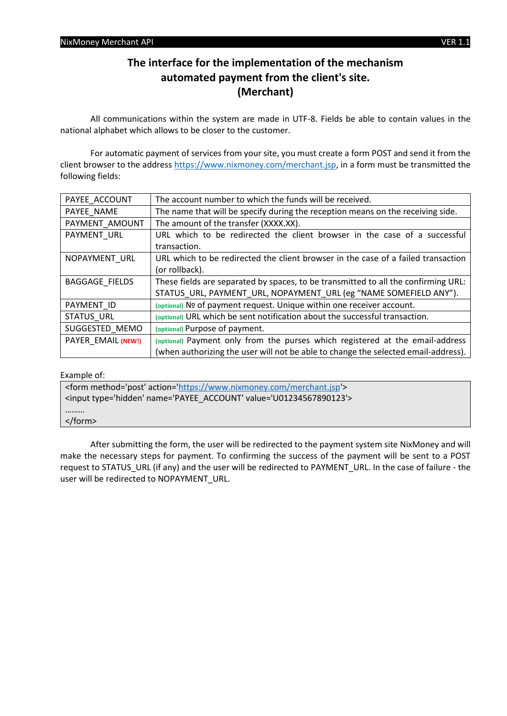# **The interface for the implementation of the mechanism automated payment from the client's site. (Merchant)**

All communications within the system are made in UTF-8. Fields be able to contain values in the national alphabet which allows to be closer to the customer.

For automatic payment of services from your site, you must create a form POST and send it from the client browser to the addres[s https://www.nixmoney.com/merchant.jsp,](https://www.nixmoney.com/merchant.jsp) in a form must be transmitted the following fields:

| The account number to which the funds will be received.                            |  |
|------------------------------------------------------------------------------------|--|
| The name that will be specify during the reception means on the receiving side.    |  |
| The amount of the transfer (XXXX.XX).                                              |  |
| URL which to be redirected the client browser in the case of a successful          |  |
| transaction.                                                                       |  |
| URL which to be redirected the client browser in the case of a failed transaction  |  |
| (or rollback).                                                                     |  |
| These fields are separated by spaces, to be transmitted to all the confirming URL: |  |
| STATUS_URL, PAYMENT_URL, NOPAYMENT_URL (eg "NAME SOMEFIELD ANY").                  |  |
| (optional) Nº of payment request. Unique within one receiver account.              |  |
| (optional) URL which be sent notification about the successful transaction.        |  |
| (optional) Purpose of payment.                                                     |  |
| (optional) Payment only from the purses which registered at the email-address      |  |
| (when authorizing the user will not be able to change the selected email-address). |  |
|                                                                                    |  |

Example of:

| <form action="https://www.nixmoney.com/merchant.jsp" method="post"></form> |  |  |
|----------------------------------------------------------------------------|--|--|
| <input name="PAYEE ACCOUNT" type="hidden" value="U01234567890123"/>        |  |  |
|                                                                            |  |  |
| $\langle$ form>                                                            |  |  |

After submitting the form, the user will be redirected to the payment system site NixMoney and will make the necessary steps for payment. To confirming the success of the payment will be sent to a POST request to STATUS\_URL (if any) and the user will be redirected to PAYMENT\_URL. In the case of failure - the user will be redirected to NOPAYMENT\_URL.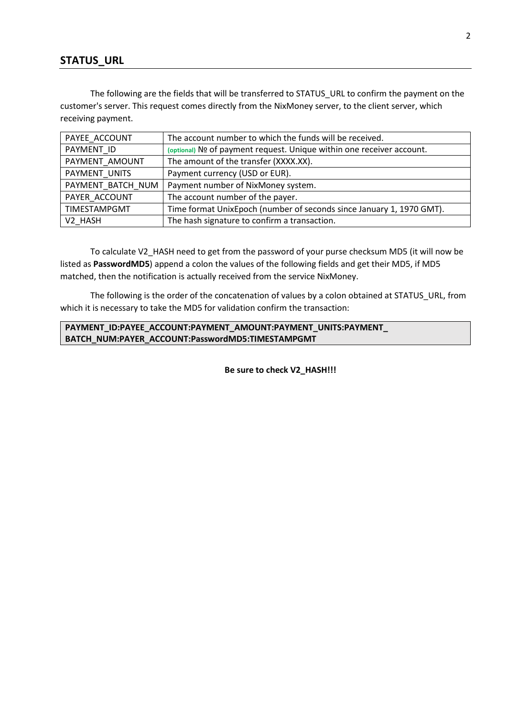#### **STATUS\_URL**

The following are the fields that will be transferred to STATUS\_URL to confirm the payment on the customer's server. This request comes directly from the NixMoney server, to the client server, which receiving payment.

| PAYEE ACCOUNT     | The account number to which the funds will be received.              |  |
|-------------------|----------------------------------------------------------------------|--|
| PAYMENT ID        | (optional) № of payment request. Unique within one receiver account. |  |
| PAYMENT AMOUNT    | The amount of the transfer (XXXX.XX).                                |  |
| PAYMENT UNITS     | Payment currency (USD or EUR).                                       |  |
| PAYMENT BATCH NUM | Payment number of NixMoney system.                                   |  |
| PAYER ACCOUNT     | The account number of the payer.                                     |  |
| TIMESTAMPGMT      | Time format UnixEpoch (number of seconds since January 1, 1970 GMT). |  |
| V2 HASH           | The hash signature to confirm a transaction.                         |  |

To calculate V2\_HASH need to get from the password of your purse checksum MD5 (it will now be listed as **PasswordMD5**) append a colon the values of the following fields and get their MD5, if MD5 matched, then the notification is actually received from the service NixMoney.

The following is the order of the concatenation of values by a colon obtained at STATUS\_URL, from which it is necessary to take the MD5 for validation confirm the transaction:

#### **PAYMENT\_ID:PAYEE\_ACCOUNT:PAYMENT\_AMOUNT:PAYMENT\_UNITS:PAYMENT\_ BATCH\_NUM:PAYER\_ACCOUNT:PasswordMD5:TIMESTAMPGMT**

**Be sure to check V2\_HASH!!!**